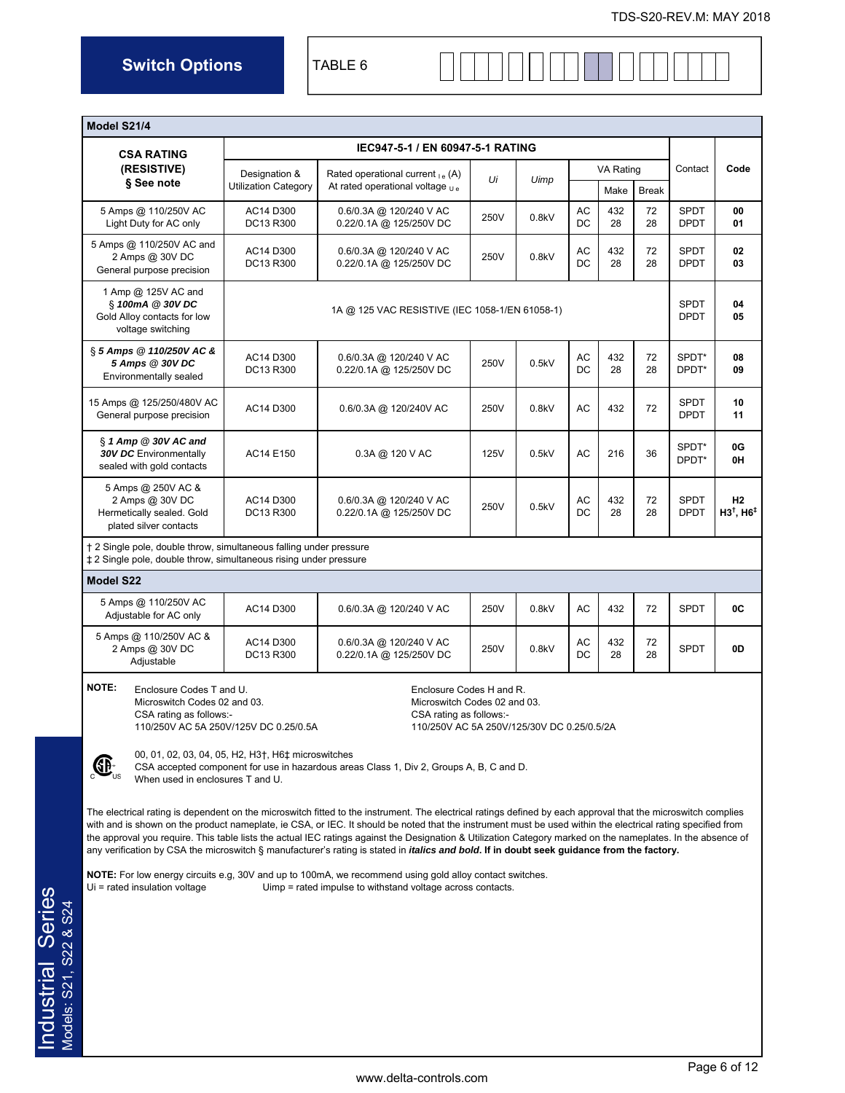**Switch Options** TABLE 6

| Model S21/4                                                                                                                                                                       |                                                                                             |                                                                                                                                                                                                                                                                                                                                                                                                                                                                                                                                                                                                                                                                                                                                                                                                                                                                                                                                                                                                                                                                    |               |       |          |           |              |                            |                                        |  |  |
|-----------------------------------------------------------------------------------------------------------------------------------------------------------------------------------|---------------------------------------------------------------------------------------------|--------------------------------------------------------------------------------------------------------------------------------------------------------------------------------------------------------------------------------------------------------------------------------------------------------------------------------------------------------------------------------------------------------------------------------------------------------------------------------------------------------------------------------------------------------------------------------------------------------------------------------------------------------------------------------------------------------------------------------------------------------------------------------------------------------------------------------------------------------------------------------------------------------------------------------------------------------------------------------------------------------------------------------------------------------------------|---------------|-------|----------|-----------|--------------|----------------------------|----------------------------------------|--|--|
| <b>CSA RATING</b>                                                                                                                                                                 |                                                                                             | IEC947-5-1 / EN 60947-5-1 RATING                                                                                                                                                                                                                                                                                                                                                                                                                                                                                                                                                                                                                                                                                                                                                                                                                                                                                                                                                                                                                                   |               |       |          |           |              |                            |                                        |  |  |
| (RESISTIVE)                                                                                                                                                                       | Designation &                                                                               | Rated operational current $_{1e}$ (A)                                                                                                                                                                                                                                                                                                                                                                                                                                                                                                                                                                                                                                                                                                                                                                                                                                                                                                                                                                                                                              | Ui            | Uimp  |          | VA Rating |              | Contact                    | Code                                   |  |  |
| § See note                                                                                                                                                                        | <b>Utilization Category</b>                                                                 | At rated operational voltage $U_{\text{e}}$                                                                                                                                                                                                                                                                                                                                                                                                                                                                                                                                                                                                                                                                                                                                                                                                                                                                                                                                                                                                                        |               |       |          | Make      | <b>Break</b> |                            |                                        |  |  |
| 5 Amps @ 110/250V AC<br>Light Duty for AC only                                                                                                                                    | AC14 D300<br>DC13 R300                                                                      | 0.6/0.3A @ 120/240 V AC<br>0.22/0.1A @ 125/250V DC                                                                                                                                                                                                                                                                                                                                                                                                                                                                                                                                                                                                                                                                                                                                                                                                                                                                                                                                                                                                                 | 250V          | 0.8kV | AC<br>DC | 432<br>28 | 72<br>28     | <b>SPDT</b><br><b>DPDT</b> | 00<br>01                               |  |  |
| 5 Amps @ 110/250V AC and<br>2 Amps @ 30V DC<br>General purpose precision                                                                                                          | AC14 D300<br>DC13 R300                                                                      | 0.6/0.3A @ 120/240 V AC<br>0.22/0.1A @ 125/250V DC                                                                                                                                                                                                                                                                                                                                                                                                                                                                                                                                                                                                                                                                                                                                                                                                                                                                                                                                                                                                                 | 250V          | 0.8kV | AC<br>DC | 432<br>28 | 72<br>28     | <b>SPDT</b><br><b>DPDT</b> | 02<br>03                               |  |  |
| 1 Amp @ 125V AC and<br>§ 100mA @ 30V DC<br>Gold Alloy contacts for low<br>voltage switching                                                                                       |                                                                                             | 1A @ 125 VAC RESISTIVE (IEC 1058-1/EN 61058-1)                                                                                                                                                                                                                                                                                                                                                                                                                                                                                                                                                                                                                                                                                                                                                                                                                                                                                                                                                                                                                     |               |       |          |           |              |                            |                                        |  |  |
| § 5 Amps @ 110/250V AC &<br>5 Amps @ 30V DC<br>Environmentally sealed                                                                                                             | AC14 D300<br>DC13 R300                                                                      | 0.6/0.3A @ 120/240 V AC<br>0.22/0.1A @ 125/250V DC                                                                                                                                                                                                                                                                                                                                                                                                                                                                                                                                                                                                                                                                                                                                                                                                                                                                                                                                                                                                                 | 250V          | 0.5kV | AC<br>DC | 432<br>28 | 72<br>28     | SPDT*<br>DPDT*             | 08<br>09                               |  |  |
| 15 Amps @ 125/250/480V AC<br>General purpose precision                                                                                                                            | AC14 D300                                                                                   | 0.6/0.3A @ 120/240V AC                                                                                                                                                                                                                                                                                                                                                                                                                                                                                                                                                                                                                                                                                                                                                                                                                                                                                                                                                                                                                                             | 250V          | 0.8kV | AC       | 432       | 72           | <b>SPDT</b><br><b>DPDT</b> | 10<br>11                               |  |  |
| § 1 Amp @ 30V AC and<br><b>30V DC</b> Environmentally<br>sealed with gold contacts                                                                                                | AC14 E150                                                                                   | $0.3A \ @ \ 120 \ V \ AC$                                                                                                                                                                                                                                                                                                                                                                                                                                                                                                                                                                                                                                                                                                                                                                                                                                                                                                                                                                                                                                          | 125V          | 0.5kV | AC       | 216       | 36           | SPDT*<br>DPDT*             | 0G<br>0H                               |  |  |
| 5 Amps @ 250V AC &<br>2 Amps @ 30V DC<br>Hermetically sealed. Gold<br>plated silver contacts                                                                                      | AC14 D300<br>DC13 R300                                                                      | 0.6/0.3A @ 120/240 V AC<br>0.22/0.1A @ 125/250V DC                                                                                                                                                                                                                                                                                                                                                                                                                                                                                                                                                                                                                                                                                                                                                                                                                                                                                                                                                                                                                 | 250V          | 0.5kV | AC<br>DC | 432<br>28 | 72<br>28     | <b>SPDT</b><br><b>DPDT</b> | H2<br>$H3^{\dagger}$ , $H6^{\ddagger}$ |  |  |
| † 2 Single pole, double throw, simultaneous falling under pressure<br>‡ 2 Single pole, double throw, simultaneous rising under pressure                                           |                                                                                             |                                                                                                                                                                                                                                                                                                                                                                                                                                                                                                                                                                                                                                                                                                                                                                                                                                                                                                                                                                                                                                                                    |               |       |          |           |              |                            |                                        |  |  |
| Model S22                                                                                                                                                                         |                                                                                             |                                                                                                                                                                                                                                                                                                                                                                                                                                                                                                                                                                                                                                                                                                                                                                                                                                                                                                                                                                                                                                                                    |               |       |          |           |              |                            |                                        |  |  |
| 5 Amps @ 110/250V AC<br>Adjustable for AC only                                                                                                                                    | AC14 D300                                                                                   | 0.6/0.3A @ 120/240 V AC                                                                                                                                                                                                                                                                                                                                                                                                                                                                                                                                                                                                                                                                                                                                                                                                                                                                                                                                                                                                                                            | 250V<br>0.8kV |       | AC       | 432       | 72           | <b>SPDT</b>                | 0C                                     |  |  |
| 5 Amps @ 110/250V AC &<br>2 Amps @ 30V DC<br>Adjustable                                                                                                                           | AC14 D300<br>DC13 R300                                                                      | 0.6/0.3A @ 120/240 V AC<br>0.22/0.1A @ 125/250V DC                                                                                                                                                                                                                                                                                                                                                                                                                                                                                                                                                                                                                                                                                                                                                                                                                                                                                                                                                                                                                 | 250V          | 0.8kV | AC<br>DC | 432<br>28 | 72<br>28     | <b>SPDT</b>                | 0D                                     |  |  |
| <b>NOTE:</b><br>Enclosure Codes T and U.<br>Microswitch Codes 02 and 03.<br>CSA rating as follows:-<br>When used in enclosures T and U.<br>$Ui = \text{rated insulation voltage}$ | 110/250V AC 5A 250V/125V DC 0.25/0.5A<br>00, 01, 02, 03, 04, 05, H2, H3†, H6‡ microswitches | Enclosure Codes H and R.<br>Microswitch Codes 02 and 03.<br>CSA rating as follows:-<br>110/250V AC 5A 250V/125/30V DC 0.25/0.5/2A<br>CSA accepted component for use in hazardous areas Class 1, Div 2, Groups A, B, C and D.<br>The electrical rating is dependent on the microswitch fitted to the instrument. The electrical ratings defined by each approval that the microswitch complies<br>with and is shown on the product nameplate, ie CSA, or IEC. It should be noted that the instrument must be used within the electrical rating specified from<br>the approval you require. This table lists the actual IEC ratings against the Designation & Utilization Category marked on the nameplates. In the absence of<br>any verification by CSA the microswitch § manufacturer's rating is stated in <i>italics and bold</i> . If in doubt seek guidance from the factory.<br><b>NOTE:</b> For low energy circuits e.g, 30V and up to 100mA, we recommend using gold alloy contact switches.<br>Uimp = rated impulse to withstand voltage across contacts. |               |       |          |           |              |                            |                                        |  |  |
|                                                                                                                                                                                   |                                                                                             |                                                                                                                                                                                                                                                                                                                                                                                                                                                                                                                                                                                                                                                                                                                                                                                                                                                                                                                                                                                                                                                                    |               |       |          |           |              |                            |                                        |  |  |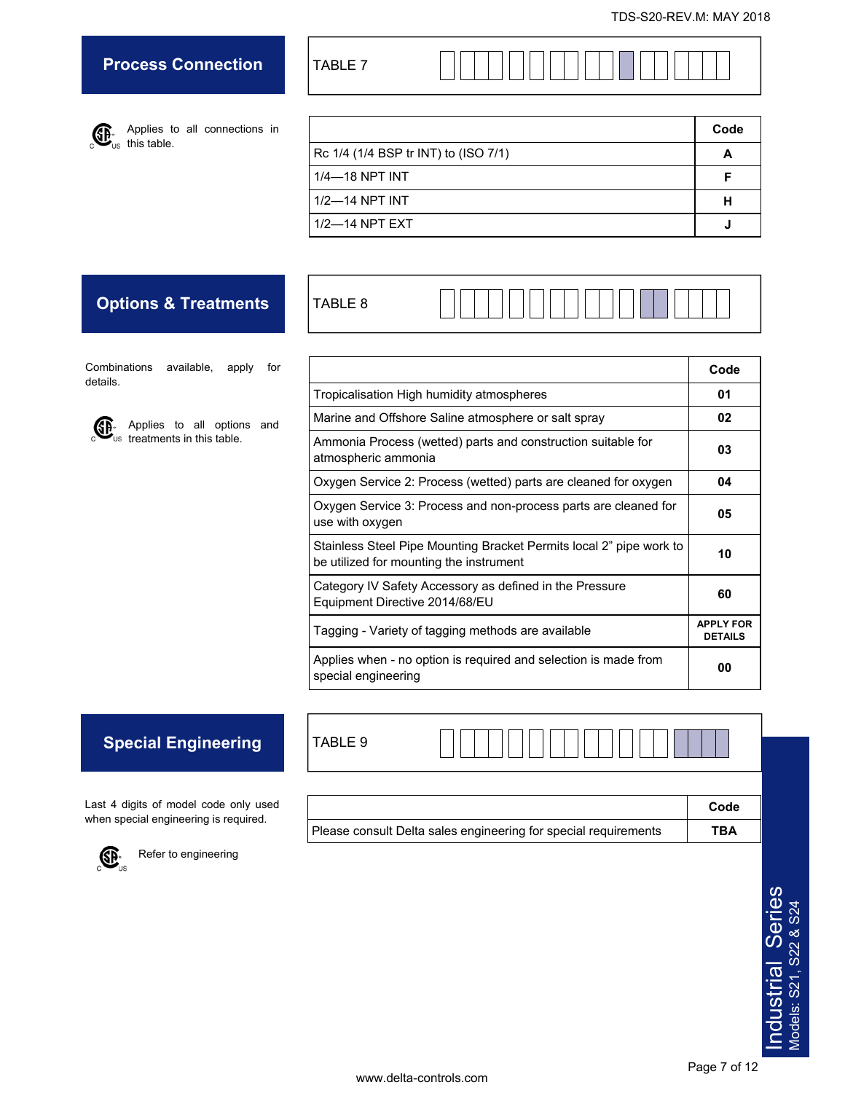# **Process Connection**

TABLE 7

TABLE 9

Applies to all connections in this table.

|                                      | Code |
|--------------------------------------|------|
| Rc 1/4 (1/4 BSP tr INT) to (ISO 7/1) |      |
| $1/4$ -18 NPT INT                    |      |
| 1/2-14 NPT INT                       |      |
| $1/2$ -14 NPT EXT                    |      |

# **Options & Treatments**

| R<br>$\overline{\phantom{0}}$<br>ᅮ<br>_<br>O<br>---<br>. .<br> |  |  |  |  |  |  |  |  |  |  |  |  |  |  |  |  |  |  |  |  |  |
|----------------------------------------------------------------|--|--|--|--|--|--|--|--|--|--|--|--|--|--|--|--|--|--|--|--|--|
|----------------------------------------------------------------|--|--|--|--|--|--|--|--|--|--|--|--|--|--|--|--|--|--|--|--|--|

Combinations available, apply for details.



Applies to all options and treatments in this table.

|                                                                                                                | Code                               |
|----------------------------------------------------------------------------------------------------------------|------------------------------------|
| Tropicalisation High humidity atmospheres                                                                      | 01                                 |
| Marine and Offshore Saline atmosphere or salt spray                                                            | 02                                 |
| Ammonia Process (wetted) parts and construction suitable for<br>atmospheric ammonia                            | 03                                 |
| Oxygen Service 2: Process (wetted) parts are cleaned for oxygen                                                | 04                                 |
| Oxygen Service 3: Process and non-process parts are cleaned for<br>use with oxygen                             | 05                                 |
| Stainless Steel Pipe Mounting Bracket Permits local 2" pipe work to<br>be utilized for mounting the instrument | 10                                 |
| Category IV Safety Accessory as defined in the Pressure<br>Equipment Directive 2014/68/EU                      | 60                                 |
| Tagging - Variety of tagging methods are available                                                             | <b>APPLY FOR</b><br><b>DETAILS</b> |
| Applies when - no option is required and selection is made from<br>special engineering                         | 00                                 |

# **Special Engineering**

Last 4 digits of model code only used when special engineering is required.



 $\overline{\mathbb{CP}}_{\mathsf{us}}^*$  Refer to engineering

| Please consult Delta sales engineering for special requirements | <b>TBA</b> |
|-----------------------------------------------------------------|------------|

**Code**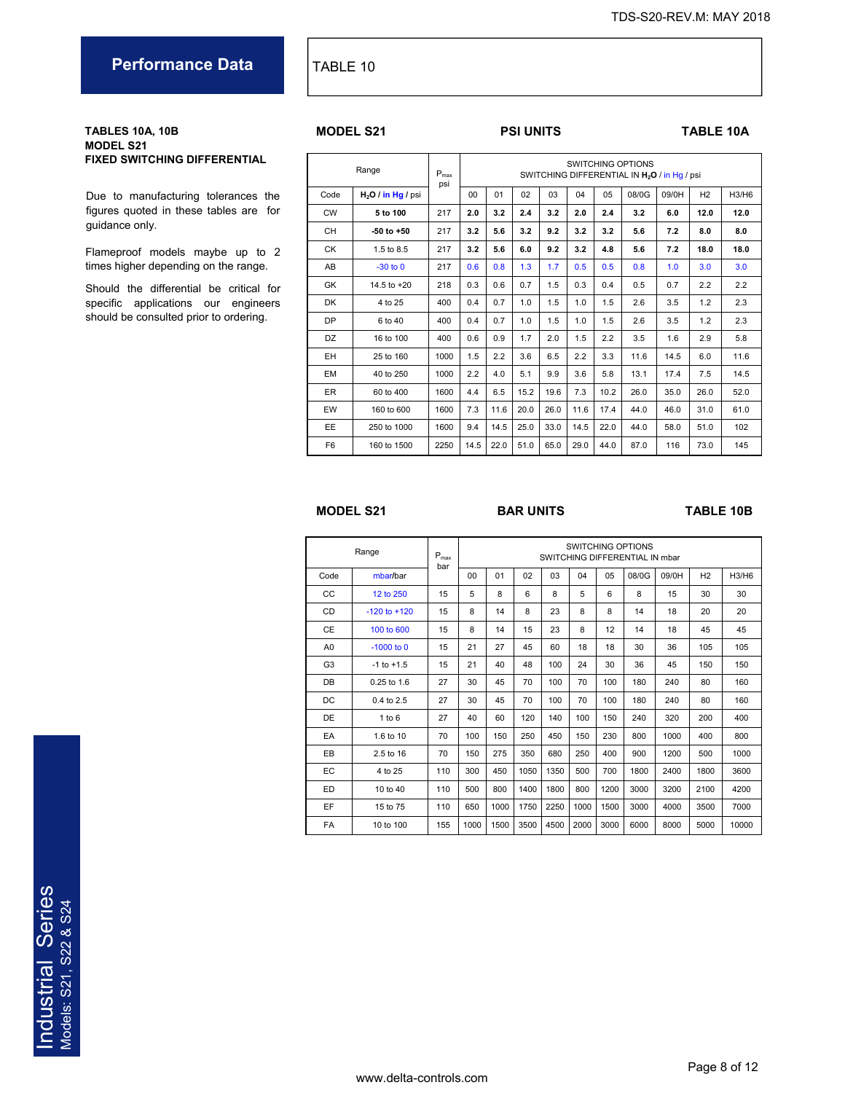**Performance Data TABLE 10** 

#### **TABLES 10A, 10B MODEL S21 FIXED SWITCHING DIFFERENTIAL**

Due to manufacturing tolerances the figures quoted in these tables are for guidance only.

Flameproof models maybe up to 2 times higher depending on the range.

Should the differential be critical for specific applications our engineers should be consulted prior to ordering.

### **PSI UNITS TABLE 10A**

|                | Range               | $P_{\text{max}}$<br>psi |                |      |      |      |      |                | <b>SWITCHING OPTIONS</b><br>SWITCHING DIFFERENTIAL IN H <sub>2</sub> O / in Hg / psi |       |                |       |
|----------------|---------------------|-------------------------|----------------|------|------|------|------|----------------|--------------------------------------------------------------------------------------|-------|----------------|-------|
| Code           | $H2O$ / in Hg / psi |                         | 0 <sub>0</sub> | 01   | 02   | 03   | 04   | 0 <sub>5</sub> | 08/0G                                                                                | 09/0H | H <sub>2</sub> | H3/H6 |
| <b>CW</b>      | 5 to 100            | 217                     | 2.0            | 3.2  | 2.4  | 3.2  | 2.0  | 2.4            | 3.2                                                                                  | 6.0   | 12.0           | 12.0  |
| <b>CH</b>      | $-50$ to $+50$      | 217                     | 3.2            | 5.6  | 3.2  | 9.2  | 3.2  | 3.2            | 5.6                                                                                  | 7.2   | 8.0            | 8.0   |
| <b>CK</b>      | 1.5 to 8.5          | 217                     | 3.2            | 5.6  | 6.0  | 9.2  | 3.2  | 4.8            | 5.6                                                                                  | 7.2   | 18.0           | 18.0  |
| AB             | $-30$ to $0$        | 217                     | 0.6            | 0.8  | 1.3  | 1.7  | 0.5  | 0.5            | 0.8                                                                                  | 1.0   | 3.0            | 3.0   |
| GK             | 14.5 to +20         | 218                     | 0.3            | 0.6  | 0.7  | 1.5  | 0.3  | 0.4            | 0.5                                                                                  | 0.7   | 2.2            | 2.2   |
| <b>DK</b>      | 4 to 25             | 400                     | 0.4            | 0.7  | 1.0  | 1.5  | 1.0  | 1.5            | 2.6                                                                                  | 3.5   | 1.2            | 2.3   |
| <b>DP</b>      | 6 to 40             | 400                     | 0.4            | 0.7  | 1.0  | 1.5  | 1.0  | 1.5            | 2.6                                                                                  | 3.5   | 1.2            | 2.3   |
| <b>DZ</b>      | 16 to 100           | 400                     | 0.6            | 0.9  | 1.7  | 2.0  | 1.5  | 2.2            | 3.5                                                                                  | 1.6   | 2.9            | 5.8   |
| EH             | 25 to 160           | 1000                    | 1.5            | 2.2  | 3.6  | 6.5  | 2.2  | 3.3            | 11.6                                                                                 | 14.5  | 6.0            | 11.6  |
| <b>EM</b>      | 40 to 250           | 1000                    | 2.2            | 4.0  | 5.1  | 9.9  | 3.6  | 5.8            | 13.1                                                                                 | 17.4  | 7.5            | 14.5  |
| <b>ER</b>      | 60 to 400           | 1600                    | 4.4            | 6.5  | 15.2 | 19.6 | 7.3  | 10.2           | 26.0                                                                                 | 35.0  | 26.0           | 52.0  |
| EW             | 160 to 600          | 1600                    | 7.3            | 11.6 | 20.0 | 26.0 | 11.6 | 17.4           | 44.0                                                                                 | 46.0  | 31.0           | 61.0  |
| EE             | 250 to 1000         | 1600                    | 9.4            | 14.5 | 25.0 | 33.0 | 14.5 | 22.0           | 44.0                                                                                 | 58.0  | 51.0           | 102   |
| F <sub>6</sub> | 160 to 1500         | 2250                    | 14.5           | 22.0 | 51.0 | 65.0 | 29.0 | 44.0           | 87.0                                                                                 | 116   | 73.0           | 145   |

### **MODEL S21 BAR UNITS TABLE 10B**

|                | Range            | $\mathsf{P}_{\mathsf{max}}$<br>bar |      |      |      |      |      |      | SWITCHING OPTIONS<br>SWITCHING DIFFERENTIAL IN mbar |       |                |       |
|----------------|------------------|------------------------------------|------|------|------|------|------|------|-----------------------------------------------------|-------|----------------|-------|
| Code           | mbar/bar         |                                    | 00   | 01   | 02   | 03   | 04   | 05   | 08/0G                                               | 09/0H | H <sub>2</sub> | H3/H6 |
| CC             | 12 to 250        | 15                                 | 5    | 8    | 6    | 8    | 5    | 6    | 8                                                   | 15    | 30             | 30    |
| <b>CD</b>      | $-120$ to $+120$ | 15                                 | 8    | 14   | 8    | 23   | 8    | 8    | 14                                                  | 18    | 20             | 20    |
| <b>CE</b>      | 100 to 600       | 15                                 | 8    | 14   | 15   | 23   | 8    | 12   | 14                                                  | 18    | 45             | 45    |
| A <sub>0</sub> | $-1000$ to 0     | 15                                 | 21   | 27   | 45   | 60   | 18   | 18   | 30                                                  | 36    | 105            | 105   |
| G <sub>3</sub> | $-1$ to $+1.5$   | 15                                 | 21   | 40   | 48   | 100  | 24   | 30   | 36                                                  | 45    | 150            | 150   |
| DB             | 0.25 to 1.6      | 27                                 | 30   | 45   | 70   | 100  | 70   | 100  | 180                                                 | 240   | 80             | 160   |
| DC             | 0.4 to 2.5       | 27                                 | 30   | 45   | 70   | 100  | 70   | 100  | 180                                                 | 240   | 80             | 160   |
| DE             | 1 to 6           | 27                                 | 40   | 60   | 120  | 140  | 100  | 150  | 240                                                 | 320   | 200            | 400   |
| EA             | 1.6 to 10        | 70                                 | 100  | 150  | 250  | 450  | 150  | 230  | 800                                                 | 1000  | 400            | 800   |
| EB             | 2.5 to 16        | 70                                 | 150  | 275  | 350  | 680  | 250  | 400  | 900                                                 | 1200  | 500            | 1000  |
| EC             | 4 to 25          | 110                                | 300  | 450  | 1050 | 1350 | 500  | 700  | 1800                                                | 2400  | 1800           | 3600  |
| ED             | 10 to 40         | 110                                | 500  | 800  | 1400 | 1800 | 800  | 1200 | 3000                                                | 3200  | 2100           | 4200  |
| EF             | 15 to 75         | 110                                | 650  | 1000 | 1750 | 2250 | 1000 | 1500 | 3000                                                | 4000  | 3500           | 7000  |
| <b>FA</b>      | 10 to 100        | 155                                | 1000 | 1500 | 3500 | 4500 | 2000 | 3000 | 6000                                                | 8000  | 5000           | 10000 |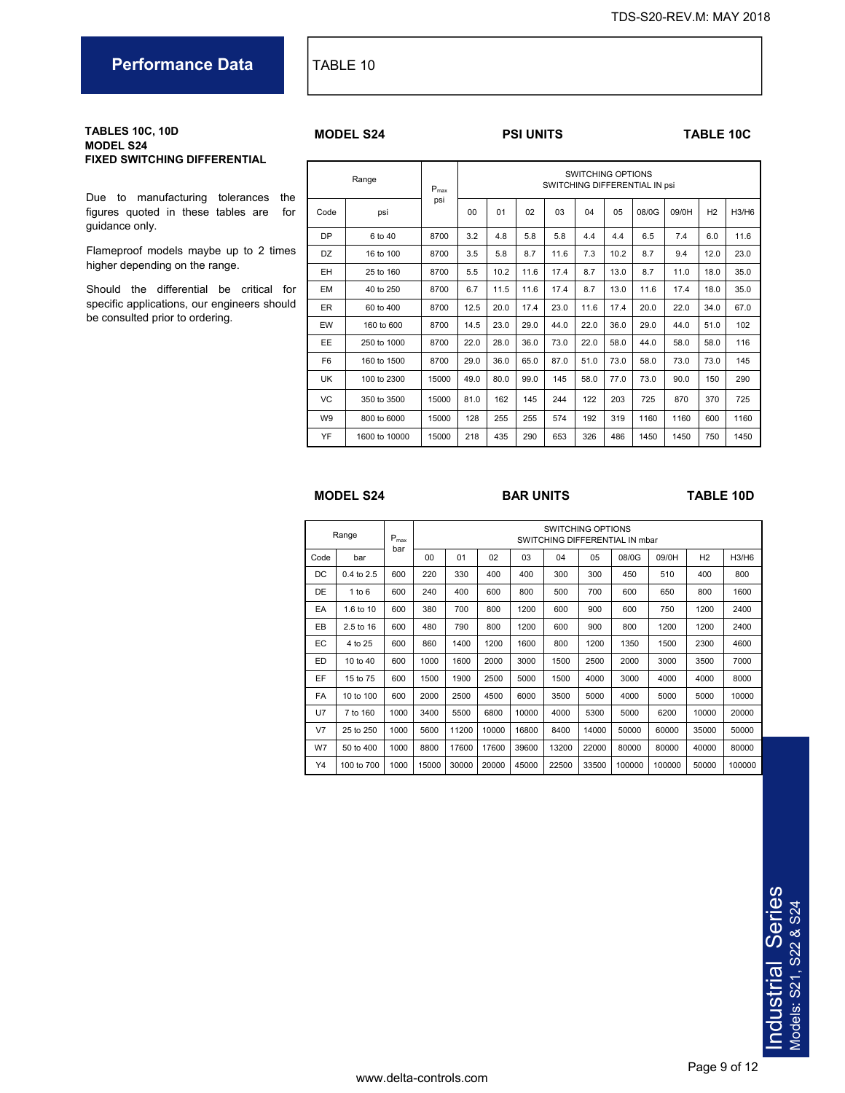### **Performance Data** TABLE 10

#### **TABLES 10C, 10D MODEL S24 FIXED SWITCHING DIFFERENTIAL**

Due to manufacturing tolerances the figures quoted in these tables are for guidance only.

Flameproof models maybe up to 2 times higher depending on the range.

Should the differential be critical for specific applications, our engineers should be consulted prior to ordering.

#### **MODEL S24 PSI UNITS TABLE 10C**

|                | Range         |       | SWITCHING OPTIONS<br>SWITCHING DIFFERENTIAL IN psi<br>$P_{\text{max}}$ |      |      |      |      |      |       |       |                |       |  |  |
|----------------|---------------|-------|------------------------------------------------------------------------|------|------|------|------|------|-------|-------|----------------|-------|--|--|
| Code           | psi           | psi   | 00                                                                     | 01   | 02   | 03   | 04   | 05   | 08/0G | 09/0H | H <sub>2</sub> | H3/H6 |  |  |
| <b>DP</b>      | 6 to 40       | 8700  | 3.2                                                                    | 4.8  | 5.8  | 5.8  | 4.4  | 4.4  | 6.5   | 7.4   | 6.0            | 11.6  |  |  |
| <b>DZ</b>      | 16 to 100     | 8700  | 3.5                                                                    | 5.8  | 8.7  | 11.6 | 7.3  | 10.2 | 8.7   | 9.4   | 12.0           | 23.0  |  |  |
| EH             | 25 to 160     | 8700  | 5.5                                                                    | 10.2 | 11.6 | 17.4 | 8.7  | 13.0 | 8.7   | 11.0  | 18.0           | 35.0  |  |  |
| <b>EM</b>      | 40 to 250     | 8700  | 6.7                                                                    | 11.5 | 11.6 | 17.4 | 8.7  | 13.0 | 11.6  | 17.4  | 18.0           | 35.0  |  |  |
| <b>ER</b>      | 60 to 400     | 8700  | 12.5                                                                   | 20.0 | 17.4 | 23.0 | 11.6 | 17.4 | 20.0  | 22.0  | 34.0           | 67.0  |  |  |
| EW             | 160 to 600    | 8700  | 14.5                                                                   | 23.0 | 29.0 | 44.0 | 22.0 | 36.0 | 29.0  | 44.0  | 51.0           | 102   |  |  |
| EE             | 250 to 1000   | 8700  | 22.0                                                                   | 28.0 | 36.0 | 73.0 | 22.0 | 58.0 | 44.0  | 58.0  | 58.0           | 116   |  |  |
| F <sub>6</sub> | 160 to 1500   | 8700  | 29.0                                                                   | 36.0 | 65.0 | 87.0 | 51.0 | 73.0 | 58.0  | 73.0  | 73.0           | 145   |  |  |
| UK             | 100 to 2300   | 15000 | 49.0                                                                   | 80.0 | 99.0 | 145  | 58.0 | 77.0 | 73.0  | 90.0  | 150            | 290   |  |  |
| <b>VC</b>      | 350 to 3500   | 15000 | 81.0                                                                   | 162  | 145  | 244  | 122  | 203  | 725   | 870   | 370            | 725   |  |  |
| W <sub>9</sub> | 800 to 6000   | 15000 | 128                                                                    | 255  | 255  | 574  | 192  | 319  | 1160  | 1160  | 600            | 1160  |  |  |
| YF             | 1600 to 10000 | 15000 | 218                                                                    | 435  | 290  | 653  | 326  | 486  | 1450  | 1450  | 750            | 1450  |  |  |

#### **MODEL S24 BAR UNITS TABLE 10D**

|                | Range      | $P_{max}$ |       | <b>SWITCHING OPTIONS</b><br>SWITCHING DIFFERENTIAL IN mbar |       |       |       |       |        |        |       |        |  |  |  |  |
|----------------|------------|-----------|-------|------------------------------------------------------------|-------|-------|-------|-------|--------|--------|-------|--------|--|--|--|--|
| Code           | bar        | bar       | 00    | 01                                                         | 02    | 03    | 04    | 05    | 08/0G  | 09/0H  | H2    | H3/H6  |  |  |  |  |
| DC             | 0.4 to 2.5 | 600       | 220   | 330                                                        | 400   | 400   | 300   | 300   | 450    | 510    | 400   | 800    |  |  |  |  |
| DE             | 1 to $6$   | 600       | 240   | 400                                                        | 600   | 800   | 500   | 700   | 600    | 650    | 800   | 1600   |  |  |  |  |
| EA             | 1.6 to 10  | 600       | 380   | 700                                                        | 800   | 1200  | 600   | 900   | 600    | 750    | 1200  | 2400   |  |  |  |  |
| EB.            | 2.5 to 16  | 600       | 480   | 790                                                        | 800   | 1200  | 600   | 900   | 800    | 1200   | 1200  | 2400   |  |  |  |  |
| EC             | 4 to 25    | 600       | 860   | 1400                                                       | 1200  | 1600  | 800   | 1200  | 1350   | 1500   | 2300  | 4600   |  |  |  |  |
| ED.            | 10 to 40   | 600       | 1000  | 1600                                                       | 2000  | 3000  | 1500  | 2500  | 2000   | 3000   | 3500  | 7000   |  |  |  |  |
| EF             | 15 to 75   | 600       | 1500  | 1900                                                       | 2500  | 5000  | 1500  | 4000  | 3000   | 4000   | 4000  | 8000   |  |  |  |  |
| <b>FA</b>      | 10 to 100  | 600       | 2000  | 2500                                                       | 4500  | 6000  | 3500  | 5000  | 4000   | 5000   | 5000  | 10000  |  |  |  |  |
| <b>U7</b>      | 7 to 160   | 1000      | 3400  | 5500                                                       | 6800  | 10000 | 4000  | 5300  | 5000   | 6200   | 10000 | 20000  |  |  |  |  |
| V <sub>7</sub> | 25 to 250  | 1000      | 5600  | 11200                                                      | 10000 | 16800 | 8400  | 14000 | 50000  | 60000  | 35000 | 50000  |  |  |  |  |
| W7             | 50 to 400  | 1000      | 8800  | 17600                                                      | 17600 | 39600 | 13200 | 22000 | 80000  | 80000  | 40000 | 80000  |  |  |  |  |
| Y4             | 100 to 700 | 1000      | 15000 | 30000                                                      | 20000 | 45000 | 22500 | 33500 | 100000 | 100000 | 50000 | 100000 |  |  |  |  |

# Industrial Series Industrial Series Models: S21, S22 & S24 Models: S21, S22 & S24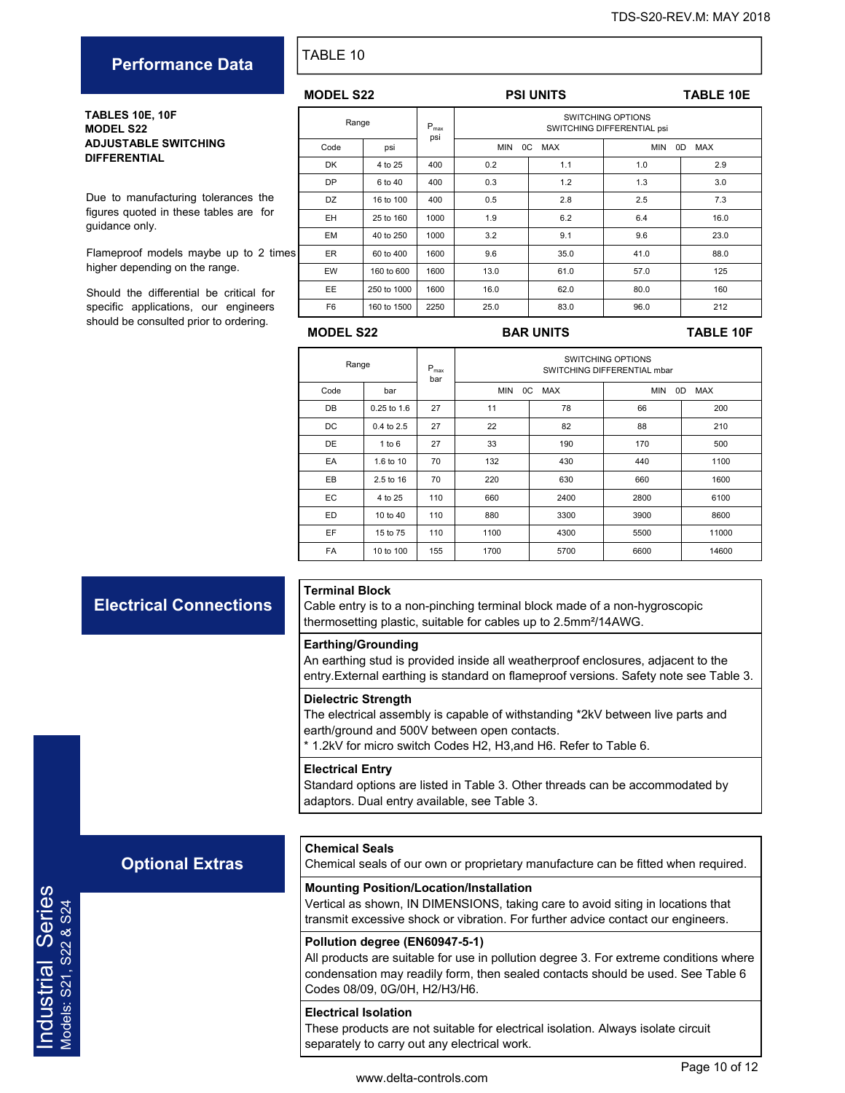# **Performance Data** FABLE 10

**TABLES 10E, 10F MODEL S22 ADJUSTABLE SWITCHING DIFFERENTIAL** 

Due to manufacturing tolerances the figures quoted in these tables are for guidance only.

Flameproof models maybe up to 2 times higher depending on the range.

Should the differential be critical for specific applications, our engineers should be consulted prior to ordering.

| <b>MODEL S22</b> |             |                         |                       | <b>PSI UNITS</b>                                       |      | <b>TABLE 10E</b> |  |  |  |
|------------------|-------------|-------------------------|-----------------------|--------------------------------------------------------|------|------------------|--|--|--|
| Range            |             | $P_{\text{max}}$<br>psi |                       | <b>SWITCHING OPTIONS</b><br>SWITCHING DIFFERENTIAL psi |      |                  |  |  |  |
| Code             | psi         |                         | $_{0C}$<br><b>MIN</b> | 0D<br><b>MAX</b>                                       |      |                  |  |  |  |
| <b>DK</b>        | 4 to 25     | 400                     | 0.2                   | 1.1                                                    | 1.0  | 2.9              |  |  |  |
| <b>DP</b>        | 6 to 40     | 400                     | 0.3                   | 1.2                                                    | 1.3  | 3.0              |  |  |  |
| DZ               | 16 to 100   | 400                     | 0.5                   | 2.8                                                    | 2.5  | 7.3              |  |  |  |
| EH.              | 25 to 160   | 1000                    | 1.9                   | 6.2                                                    | 6.4  | 16.0             |  |  |  |
| <b>EM</b>        | 40 to 250   | 1000                    | 3.2                   | 9.1                                                    | 9.6  | 23.0             |  |  |  |
| ER.              | 60 to 400   | 1600                    | 9.6                   | 35.0                                                   | 41.0 | 88.0             |  |  |  |
| EW               | 160 to 600  | 1600                    | 13.0                  | 61.0                                                   | 57.0 | 125              |  |  |  |
| EE.              | 250 to 1000 | 1600                    | 16.0                  | 62.0                                                   | 80.0 | 160              |  |  |  |
| F <sub>6</sub>   | 160 to 1500 | 2250                    | 25.0                  | 83.0                                                   | 96.0 | 212              |  |  |  |

### **MODEL S22 BAR UNITS TABLE 10F**

| Range     |               | $P_{max}$<br>bar | SWITCHING OPTIONS<br>SWITCHING DIFFERENTIAL mbar |            |                                |       |  |  |  |  |  |
|-----------|---------------|------------------|--------------------------------------------------|------------|--------------------------------|-------|--|--|--|--|--|
| Code      | bar           |                  | <b>MIN</b><br>0C                                 | <b>MAX</b> | <b>MIN</b><br><b>MAX</b><br>0D |       |  |  |  |  |  |
| DB        | $0.25$ to 1.6 | 27               | 11                                               | 78         | 66                             | 200   |  |  |  |  |  |
| DC        | 0.4 to 2.5    | 27               | 22                                               | 82         | 88                             | 210   |  |  |  |  |  |
| DE        | 1 to 6        | 27               | 33                                               | 190        | 170                            | 500   |  |  |  |  |  |
| EA        | 1.6 to 10     | 70               | 132                                              | 430        | 440                            | 1100  |  |  |  |  |  |
| EB        | 2.5 to 16     | 70               | 220                                              | 630        | 660                            | 1600  |  |  |  |  |  |
| EC.       | 4 to 25       | 110              | 660                                              | 2400       | 2800                           | 6100  |  |  |  |  |  |
| ED.       | 10 to $40$    | 110              | 880                                              | 3300       | 3900                           | 8600  |  |  |  |  |  |
| EF        | 15 to 75      | 110              | 1100                                             | 4300       | 5500                           | 11000 |  |  |  |  |  |
| <b>FA</b> | 10 to 100     | 155              | 1700                                             | 5700       | 6600                           | 14600 |  |  |  |  |  |

**Electrical Connections**

#### **Terminal Block**

Cable entry is to a non-pinching terminal block made of a non-hygroscopic thermosetting plastic, suitable for cables up to 2.5mm²/14AWG.

#### **Earthing/Grounding**

An earthing stud is provided inside all weatherproof enclosures, adjacent to the entry.External earthing is standard on flameproof versions. Safety note see Table 3.

#### **Dielectric Strength**

The electrical assembly is capable of withstanding \*2kV between live parts and earth/ground and 500V between open contacts.

\* 1.2kV for micro switch Codes H2, H3,and H6. Refer to Table 6.

#### **Electrical Entry**

**Chemical Seals** 

Standard options are listed in Table 3. Other threads can be accommodated by adaptors. Dual entry available, see Table 3.

### **Optional Extras**

**Mounting Position/Location/Installation**  Vertical as shown, IN DIMENSIONS, taking care to avoid siting in locations that

transmit excessive shock or vibration. For further advice contact our engineers.

Chemical seals of our own or proprietary manufacture can be fitted when required.

### **Pollution degree (EN60947-5-1)**  All products are suitable for use in pollution degree 3. For extreme conditions where

condensation may readily form, then sealed contacts should be used. See Table 6 Codes 08/09, 0G/0H, H2/H3/H6.

### **Electrical Isolation**

These products are not suitable for electrical isolation. Always isolate circuit separately to carry out any electrical work.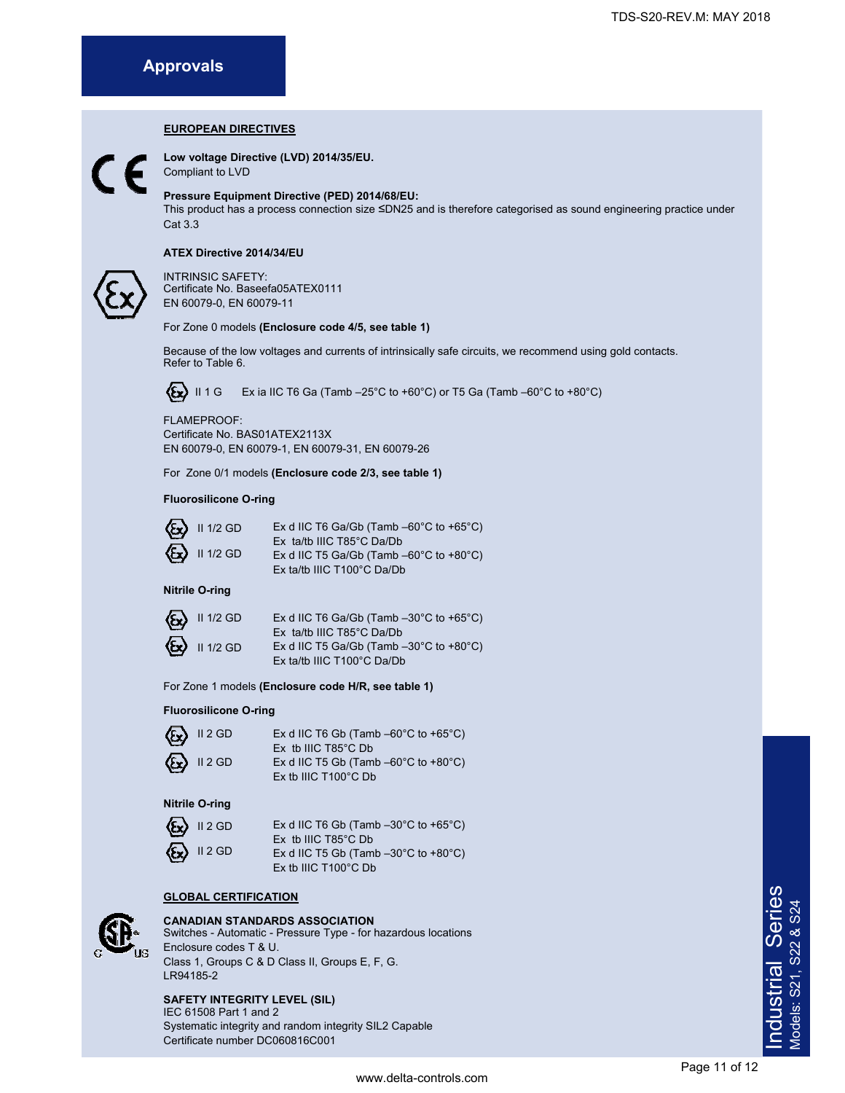### **EUROPEAN DIRECTIVES**

**Low voltage Directive (LVD) 2014/35/EU.** 

Compliant to LVD

#### **Pressure Equipment Directive (PED) 2014/68/EU:**

This product has a process connection size ≤DN25 and is therefore categorised as sound engineering practice under Cat 3.3

#### **ATEX Directive 2014/34/EU**



INTRINSIC SAFETY: Certificate No. Baseefa05ATEX0111 EN 60079-0, EN 60079-11

#### For Zone 0 models **(Enclosure code 4/5, see table 1)**

Because of the low voltages and currents of intrinsically safe circuits, we recommend using gold contacts. Refer to Table 6.

II 1 G Ex ia IIC T6 Ga (Tamb –25°C to +60°C) or T5 Ga (Tamb –60°C to +80°C)

FLAMEPROOF: Certificate No. BAS01ATEX2113X EN 60079-0, EN 60079-1, EN 60079-31, EN 60079-26

For Zone 0/1 models **(Enclosure code 2/3, see table 1)** 

#### **Fluorosilicone O-ring**

| $\mathcal{E}_\mathbf{X}$ II 1/2 GD | Ex d IIC T6 Ga/Gb (Tamb $-60^{\circ}$ C to $+65^{\circ}$ C) |
|------------------------------------|-------------------------------------------------------------|
|                                    | Ex ta/tb IIIC $T85^{\circ}$ C Da/Db                         |
| $\mathbf{E}$ II 1/2 GD             | Ex d IIC T5 Ga/Gb (Tamb $-60^{\circ}$ C to $+80^{\circ}$ C) |
|                                    | Ex ta/tb IIIC T100°C Da/Db                                  |

### **Nitrile O-ring**

{{z}

| $\langle \xi_{\mathbf{x}} \rangle$ II 1/2 GD               | Ex d IIC T6 Ga/Gb (Tamb $-30^{\circ}$ C to $+65^{\circ}$ C) |
|------------------------------------------------------------|-------------------------------------------------------------|
|                                                            | Ex ta/tb IIIC $T85^{\circ}$ C Da/Db                         |
| $\left\langle \sum_{n=1}^{\infty} \right\rangle$ II 1/2 GD | Ex d IIC T5 Ga/Gb (Tamb $-30^{\circ}$ C to $+80^{\circ}$ C) |
|                                                            | Ex ta/tb IIIC T100°C Da/Db                                  |

For Zone 1 models **(Enclosure code H/R, see table 1)** 

#### **Fluorosilicone O-ring**

| $\bigotimes$ II 2 GD | Ex d IIC T6 Gb (Tamb $-60^{\circ}$ C to $+65^{\circ}$ C) |
|----------------------|----------------------------------------------------------|
|                      | Ex tb IIIC $T85^{\circ}$ C Db                            |
| $\bigotimes$ II 2 GD | Ex d IIC T5 Gb (Tamb $-60^{\circ}$ C to $+80^{\circ}$ C) |
|                      | $Ex$ tb IIIC T100 $^{\circ}$ C Db                        |

#### **Nitrile O-ring**

| $\langle \xi_{\mathbf{x}} \rangle$ II 2 GD | Ex d IIC T6 Gb (Tamb $-30^{\circ}$ C to $+65^{\circ}$ C) |
|--------------------------------------------|----------------------------------------------------------|
|                                            | Ex tb IIIC $T85^{\circ}$ C Db                            |
| $\langle \xi \rangle$ II 2 GD              | Ex d IIC T5 Gb (Tamb $-30^{\circ}$ C to $+80^{\circ}$ C) |
|                                            | Ex tb IIIC $T100^{\circ}$ C Db                           |

#### **GLOBAL CERTIFICATION**



#### **CANADIAN STANDARDS ASSOCIATION**

Switches - Automatic - Pressure Type - for hazardous locations Enclosure codes T & U. Class 1, Groups C & D Class II, Groups E, F, G. LR94185-2

### **SAFETY INTEGRITY LEVEL (SIL)**

IEC 61508 Part 1 and 2 Systematic integrity and random integrity SIL2 Capable Certificate number DC060816C001